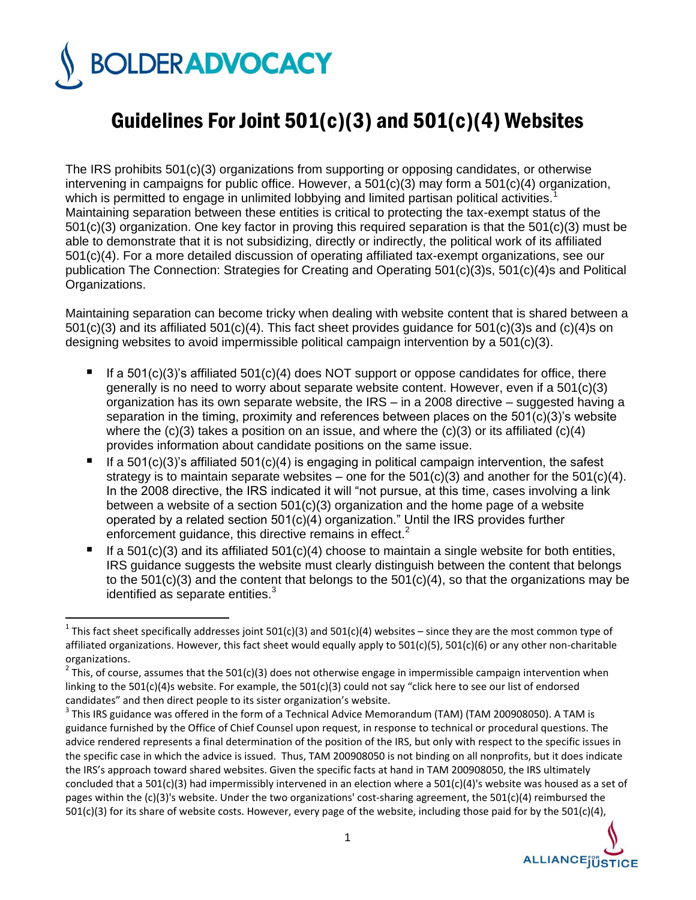## **BOLDERADVOCACY**

 $\overline{a}$ 

## Guidelines For Joint 501(c)(3) and 501(c)(4) Websites

The IRS prohibits 501(c)(3) organizations from supporting or opposing candidates, or otherwise intervening in campaigns for public office. However, a 501(c)(3) may form a 501(c)(4) organization, which is permitted to engage in unlimited lobbying and limited partisan political activities.<sup>1</sup> Maintaining separation between these entities is critical to protecting the tax-exempt status of the 501(c)(3) organization. One key factor in proving this required separation is that the 501(c)(3) must be able to demonstrate that it is not subsidizing, directly or indirectly, the political work of its affiliated 501(c)(4). For a more detailed discussion of operating affiliated tax-exempt organizations, see our publication The Connection: Strategies for Creating and Operating 501(c)(3)s, 501(c)(4)s and Political Organizations.

Maintaining separation can become tricky when dealing with website content that is shared between a 501(c)(3) and its affiliated 501(c)(4). This fact sheet provides guidance for 501(c)(3)s and (c)(4)s on designing websites to avoid impermissible political campaign intervention by a 501(c)(3).

- If a 501(c)(3)'s affiliated 501(c)(4) does NOT support or oppose candidates for office, there generally is no need to worry about separate website content. However, even if a  $501(c)(3)$ organization has its own separate website, the IRS – in a 2008 directive – suggested having a separation in the timing, proximity and references between places on the 501(c)(3)'s website where the  $(c)(3)$  takes a position on an issue, and where the  $(c)(3)$  or its affiliated  $(c)(4)$ provides information about candidate positions on the same issue.
- If a 501(c)(3)'s affiliated 501(c)(4) is engaging in political campaign intervention, the safest strategy is to maintain separate websites – one for the  $501(c)(3)$  and another for the  $501(c)(4)$ . In the 2008 directive, the IRS indicated it will "not pursue, at this time, cases involving a link between a website of a section 501(c)(3) organization and the home page of a website operated by a related section 501(c)(4) organization." Until the IRS provides further enforcement guidance, this directive remains in effect.<sup>2</sup>
- If a  $501(c)(3)$  and its affiliated  $501(c)(4)$  choose to maintain a single website for both entities, IRS guidance suggests the website must clearly distinguish between the content that belongs to the 501(c)(3) and the content that belongs to the  $501(c)(4)$ , so that the organizations may be identified as separate entities. $3$

 $^3$  This IRS guidance was offered in the form of a Technical Advice Memorandum (TAM) (TAM 200908050). A TAM is guidance furnished by the Office of Chief Counsel upon request, in response to technical or procedural questions. The advice rendered represents a final determination of the position of the IRS, but only with respect to the specific issues in the specific case in which the advice is issued. Thus, TAM 200908050 is not binding on all nonprofits, but it does indicate the IRS's approach toward shared websites. Given the specific facts at hand in TAM 200908050, the IRS ultimately concluded that a 501(c)(3) had impermissibly intervened in an election where a 501(c)(4)'s website was housed as a set of pages within the (c)(3)'s website. Under the two organizations' cost-sharing agreement, the 501(c)(4) reimbursed the 501(c)(3) for its share of website costs. However, every page of the website, including those paid for by the 501(c)(4),



<sup>&</sup>lt;sup>1</sup> This fact sheet specifically addresses joint 501(c)(3) and 501(c)(4) websites – since they are the most common type of affiliated organizations. However, this fact sheet would equally apply to 501(c)(5), 501(c)(6) or any other non-charitable organizations.

 $2$  This, of course, assumes that the 501(c)(3) does not otherwise engage in impermissible campaign intervention when linking to the 501(c)(4)s website. For example, the 501(c)(3) could not say "click here to see our list of endorsed candidates" and then direct people to its sister organization's website.